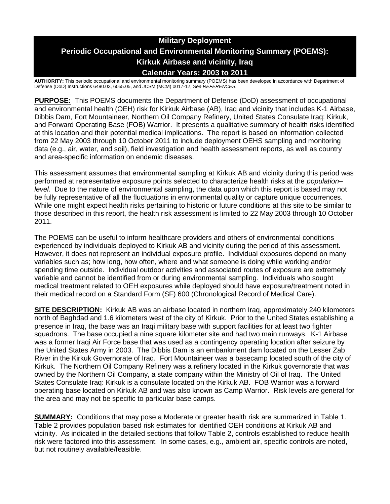# **Military Deployment Periodic Occupational and Environmental Monitoring Summary (POEMS): Kirkuk Airbase and vicinity, Iraq Calendar Years: 2003 to 2011**

**AUTHORITY:** This periodic occupational and environmental monitoring summary (POEMS) has been developed in accordance with Department of Defense (DoD) Instructions 6490.03, 6055.05, and JCSM (MCM) 0017-12, *See REFERENCES.*

**PURPOSE:** This POEMS documents the Department of Defense (DoD) assessment of occupational and environmental health (OEH) risk for Kirkuk Airbase (AB), Iraq and vicinity that includes K-1 Airbase, Dibbis Dam, Fort Mountaineer, Northern Oil Company Refinery, United States Consulate Iraq: Kirkuk, and Forward Operating Base (FOB) Warrior. It presents a qualitative summary of health risks identified at this location and their potential medical implications. The report is based on information collected from 22 May 2003 through 10 October 2011 to include deployment OEHS sampling and monitoring data (e.g., air, water, and soil), field investigation and health assessment reports, as well as country and area-specific information on endemic diseases.

This assessment assumes that environmental sampling at Kirkuk AB and vicinity during this period was performed at representative exposure points selected to characterize health risks at the *population– level*. Due to the nature of environmental sampling, the data upon which this report is based may not be fully representative of all the fluctuations in environmental quality or capture unique occurrences. While one might expect health risks pertaining to historic or future conditions at this site to be similar to those described in this report, the health risk assessment is limited to 22 May 2003 through 10 October 2011.

The POEMS can be useful to inform healthcare providers and others of environmental conditions experienced by individuals deployed to Kirkuk AB and vicinity during the period of this assessment. However, it does not represent an individual exposure profile. Individual exposures depend on many variables such as; how long, how often, where and what someone is doing while working and/or spending time outside. Individual outdoor activities and associated routes of exposure are extremely variable and cannot be identified from or during environmental sampling. Individuals who sought medical treatment related to OEH exposures while deployed should have exposure/treatment noted in their medical record on a Standard Form (SF) 600 (Chronological Record of Medical Care).

**SITE DESCRIPTION:** Kirkuk AB was an airbase located in northern Iraq, approximately 240 kilometers north of Baghdad and 1.6 kilometers west of the city of Kirkuk. Prior to the United States establishing a presence in Iraq, the base was an Iraqi military base with support facilities for at least two fighter squadrons. The base occupied a nine square kilometer site and had two main runways. K-1 Airbase was a former Iraqi Air Force base that was used as a contingency operating location after seizure by the United States Army in 2003. The Dibbis Dam is an embankment dam located on the Lesser Zab River in the Kirkuk Governorate of Iraq. Fort Mountaineer was a basecamp located south of the city of Kirkuk. The Northern Oil Company Refinery was a refinery located in the Kirkuk governorate that was owned by the Northern Oil Company, a state company within the Ministry of Oil of Iraq. The United States Consulate Iraq: Kirkuk is a consulate located on the Kirkuk AB. FOB Warrior was a forward operating base located on Kirkuk AB and was also known as Camp Warrior. Risk levels are general for the area and may not be specific to particular base camps.

**SUMMARY:** Conditions that may pose a Moderate or greater health risk are summarized in Table 1. Table 2 provides population based risk estimates for identified OEH conditions at Kirkuk AB and vicinity. As indicated in the detailed sections that follow Table 2, controls established to reduce health risk were factored into this assessment. In some cases, e.g., ambient air, specific controls are noted, but not routinely available/feasible.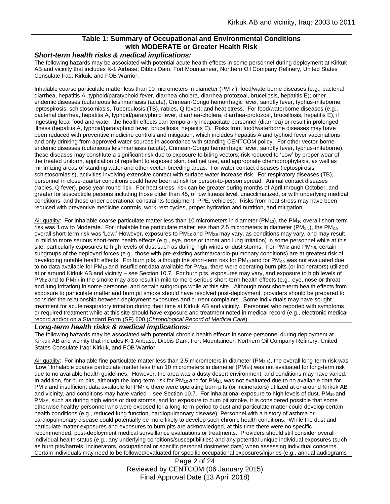#### **Table 1: Summary of Occupational and Environmental Conditions with MODERATE or Greater Health Risk**

#### *Short-term health risks & medical implications:*

The following hazards may be associated with potential acute health effects in some personnel during deployment at Kirkuk AB and vicinity that includes K-1 Airbase, Dibbis Dam, Fort Mountaineer, Northern Oil Company Refinery, United States Consulate Iraq: Kirkuk, and FOB Warrior:

Inhalable coarse particulate matter less than 10 micrometers in diameter  $(PM_{10})$ , food/waterborne diseases (e.g., bacterial diarrhea, hepatitis A, typhoid/paratyphoid fever, diarrhea-cholera, diarrhea-protozoal, brucellosis, hepatitis E); other endemic diseases (cutaneous leishmaniasis (acute), Crimean-Congo hemorrhagic fever, sandfly fever, typhus-miteborne, leptospirosis, schistosomiasis, Tuberculosis (TB), rabies, Q fever); and heat stress. For food/waterborne diseases (e.g., bacterial diarrhea, hepatitis A, typhoid/paratyphoid fever, diarrhea-cholera, diarrhea-protozoal, brucellosis, hepatitis E), if ingesting local food and water, the health effects can temporarily incapacitate personnel (diarrhea) or result in prolonged illness (hepatitis A, typhoid/paratyphoid fever, brucellosis, hepatitis E). Risks from food/waterborne diseases may have been reduced with preventive medicine controls and mitigation, which includes hepatitis A and typhoid fever vaccinations and only drinking from approved water sources in accordance with standing CENTCOM policy. For other vector-borne endemic diseases (cutaneous leishmaniasis (acute), Crimean-Congo hemorrhagic fever, sandfly fever, typhus-miteborne), these diseases may constitute a significant risk due to exposure to biting vectors; risk reduced to 'Low' by proper wear of the treated uniform, application of repellent to exposed skin, bed net use, and appropriate chemoprophylaxis, as well as minimizing areas of standing water and other vector-breeding areas. For water contact diseases (leptospirosis, schistosomiasis), activities involving extensive contact with surface water increase risk. For respiratory diseases (TB), personnel in close-quarter conditions could have been at risk for person-to-person spread. Animal contact diseases (rabies, Q fever), pose year-round risk. For heat stress, risk can be greater during months of April through October, and greater for susceptible persons including those older than 45, of low fitness level, unacclimatized, or with underlying medical conditions, and those under operational constraints (equipment, PPE, vehicles). Risks from heat stress may have been reduced with preventive medicine controls, work-rest cycles, proper hydration and nutrition, and mitigation.

Air quality: For inhalable coarse particulate matter less than 10 micrometers in diameter (PM<sub>10</sub>), the PM<sub>10</sub> overall short-term risk was 'Low to Moderate.' For inhalable fine particulate matter less than 2.5 micrometers in diameter ( $PM_{2.5}$ ), the PM<sub>2.5</sub> overall short-term risk was 'Low.' However, exposures to PM<sub>10</sub> and PM<sub>2.5</sub> may vary, as conditions may vary, and may result in mild to more serious short-term health effects (e.g., eye, nose or throat and lung irritation) in some personnel while at this site, particularly exposures to high levels of dust such as during high winds or dust storms. For PM<sub>10</sub> and PM<sub>2.5</sub>, certain subgroups of the deployed forces (e.g., those with pre-existing asthma/cardio-pulmonary conditions) are at greatest risk of developing notable health effects. For burn pits, although the short-term risk for  $PM_{10}$  and for  $PM_{2.5}$  was not evaluated due to no data available for  $PM_{10}$  and insufficient data available for  $PM_{2.5}$ , there were operating burn pits (or incinerators) utilized at or around Kirkuk AB and vicinity – see Section 10.7. For burn pits, exposures may vary, and exposure to high levels of  $PM_{10}$  and to  $PM_{2.5}$  in the smoke may also result in mild to more serious short-term health effects (e.g., eye, nose or throat and lung irritation) in some personnel and certain subgroups while at this site. Although most short-term health effects from exposure to particulate matter and burn pit smoke should have resolved post-deployment, providers should be prepared to consider the relationship between deployment exposures and current complaints. Some individuals may have sought treatment for acute respiratory irritation during their time at Kirkuk AB and vicinity. Personnel who reported with symptoms or required treatment while at this site should have exposure and treatment noted in medical record (e.g., electronic medical record and/or on a Standard Form (SF) 600 (*Chronological Record of Medical Care*).

#### *Long-term health risks & medical implications:*

The following hazards may be associated with potential chronic health effects in some personnel during deployment at Kirkuk AB and vicinity that includes K-1 Airbase, Dibbis Dam, Fort Mountaineer, Northern Oil Company Refinery, United States Consulate Iraq: Kirkuk, and FOB Warrior:

Air quality: For inhalable fine particulate matter less than 2.5 micrometers in diameter (PM2.5), the overall long-term risk was 'Low.' Inhalable coarse particulate matter less than 10 micrometers in diameter (PM<sub>10</sub>) was not evaluated for long-term risk due to no available health guidelines. However, the area was a dusty desert environment, and conditions may have varied. In addition, for burn pits, although the long-term risk for PM<sub>10</sub> and for PM<sub>2.5</sub> was not evaluated due to no available data for PM<sub>10</sub> and insufficient data available for PM<sub>2.5</sub>, there were operating burn pits (or incinerators) utilized at or around Kirkuk AB and vicinity, and conditions may have varied – see Section 10.7. For inhalational exposure to high levels of dust,  $PM_{10}$  and PM2.5, such as during high winds or dust storms, and for exposure to burn pit smoke, it is considered possible that some otherwise healthy personnel who were exposed for a long-term period to dust and particulate matter could develop certain health conditions (e.g., reduced lung function, cardiopulmonary disease). Personnel with a history of asthma or cardiopulmonary disease could potentially be more likely to develop such chronic health conditions. While the dust and particulate matter exposures and exposures to burn pits are acknowledged, at this time there were no specific recommended, post-deployment medical surveillance evaluations or treatments. Providers should still consider overall individual health status (e.g., any underlying conditions/susceptibilities) and any potential unique individual exposures (such as burn pits/barrels, incinerators, occupational or specific personal dosimeter data) when assessing individual concerns. Certain individuals may need to be followed/evaluated for specific occupational exposures/injuries (e.g., annual audiograms

> Page 2 of 24 Reviewed by CENTCOM (06 January 2015) Final Approval Date (13 April 2018)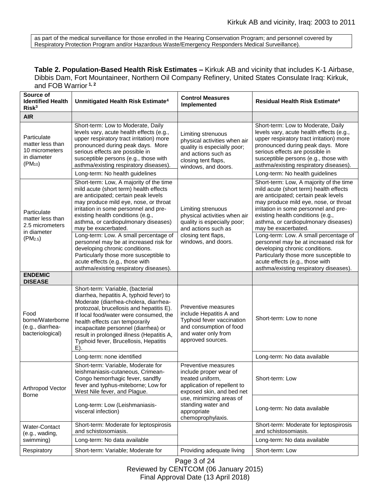as part of the medical surveillance for those enrolled in the Hearing Conservation Program; and personnel covered by Respiratory Protection Program and/or Hazardous Waste/Emergency Responders Medical Surveillance).

**Table 2. Population-Based Health Risk Estimates –** Kirkuk AB and vicinity that includes K-1 Airbase, Dibbis Dam, Fort Mountaineer, Northern Oil Company Refinery, United States Consulate Iraq: Kirkuk, and FOB Warrior **1, 2**

| Source of<br><b>Identified Health</b><br>Risk <sup>3</sup>                                | Unmitigated Health Risk Estimate <sup>4</sup>                                                                                                                                                                                                                                                                                                                                                                                                                                                                     | <b>Control Measures</b><br><b>Implemented</b>                                                                                                                                                                       | <b>Residual Health Risk Estimate<sup>4</sup></b>                                                                                                                                                                                                                                                                                                                                                                                                                                                                  |
|-------------------------------------------------------------------------------------------|-------------------------------------------------------------------------------------------------------------------------------------------------------------------------------------------------------------------------------------------------------------------------------------------------------------------------------------------------------------------------------------------------------------------------------------------------------------------------------------------------------------------|---------------------------------------------------------------------------------------------------------------------------------------------------------------------------------------------------------------------|-------------------------------------------------------------------------------------------------------------------------------------------------------------------------------------------------------------------------------------------------------------------------------------------------------------------------------------------------------------------------------------------------------------------------------------------------------------------------------------------------------------------|
| <b>AIR</b>                                                                                |                                                                                                                                                                                                                                                                                                                                                                                                                                                                                                                   |                                                                                                                                                                                                                     |                                                                                                                                                                                                                                                                                                                                                                                                                                                                                                                   |
| Particulate<br>matter less than<br>10 micrometers<br>in diameter<br>$(PM_{10})$           | Short-term: Low to Moderate, Daily<br>levels vary, acute health effects (e.g.,<br>upper respiratory tract irritation) more<br>pronounced during peak days. More<br>serious effects are possible in<br>susceptible persons (e.g., those with<br>asthma/existing respiratory diseases).                                                                                                                                                                                                                             | Limiting strenuous<br>physical activities when air<br>quality is especially poor;<br>and actions such as<br>closing tent flaps,<br>windows, and doors.                                                              | Short-term: Low to Moderate, Daily<br>levels vary, acute health effects (e.g.,<br>upper respiratory tract irritation) more<br>pronounced during peak days. More<br>serious effects are possible in<br>susceptible persons (e.g., those with<br>asthma/existing respiratory diseases).                                                                                                                                                                                                                             |
|                                                                                           | Long-term: No health guidelines                                                                                                                                                                                                                                                                                                                                                                                                                                                                                   |                                                                                                                                                                                                                     | Long-term: No health guidelines                                                                                                                                                                                                                                                                                                                                                                                                                                                                                   |
| Particulate<br>matter less than<br>2.5 micrometers<br>in diameter<br>(PM <sub>2.5</sub> ) | Short-term: Low, A majority of the time<br>mild acute (short term) health effects<br>are anticipated; certain peak levels<br>may produce mild eye, nose, or throat<br>irritation in some personnel and pre-<br>existing health conditions (e.g.,<br>asthma, or cardiopulmonary diseases)<br>may be exacerbated.<br>Long-term: Low. A small percentage of<br>personnel may be at increased risk for<br>developing chronic conditions.<br>Particularly those more susceptible to<br>acute effects (e.g., those with | Limiting strenuous<br>physical activities when air<br>quality is especially poor;<br>and actions such as<br>closing tent flaps,<br>windows, and doors.                                                              | Short-term: Low, A majority of the time<br>mild acute (short term) health effects<br>are anticipated; certain peak levels<br>may produce mild eye, nose, or throat<br>irritation in some personnel and pre-<br>existing health conditions (e.g.,<br>asthma, or cardiopulmonary diseases)<br>may be exacerbated.<br>Long-term: Low. A small percentage of<br>personnel may be at increased risk for<br>developing chronic conditions.<br>Particularly those more susceptible to<br>acute effects (e.g., those with |
| <b>ENDEMIC</b>                                                                            | asthma/existing respiratory diseases).                                                                                                                                                                                                                                                                                                                                                                                                                                                                            |                                                                                                                                                                                                                     | asthma/existing respiratory diseases).                                                                                                                                                                                                                                                                                                                                                                                                                                                                            |
| <b>DISEASE</b>                                                                            |                                                                                                                                                                                                                                                                                                                                                                                                                                                                                                                   |                                                                                                                                                                                                                     |                                                                                                                                                                                                                                                                                                                                                                                                                                                                                                                   |
| Food<br>borne/Waterborne<br>(e.g., diarrhea-<br>bacteriological)                          | Short-term: Variable, (bacterial<br>diarrhea, hepatitis A, typhoid fever) to<br>Moderate (diarrhea-cholera, diarrhea-<br>protozoal, brucellosis and hepatitis E).<br>If local food/water were consumed, the<br>health effects can temporarily<br>incapacitate personnel (diarrhea) or<br>result in prolonged illness (Hepatitis A,<br>Typhoid fever, Brucellosis, Hepatitis<br>E).                                                                                                                                | Preventive measures<br>include Hepatitis A and<br>Typhoid fever vaccination<br>and consumption of food<br>and water only from<br>approved sources.                                                                  | Short-term: Low to none                                                                                                                                                                                                                                                                                                                                                                                                                                                                                           |
|                                                                                           | Long-term: none identified                                                                                                                                                                                                                                                                                                                                                                                                                                                                                        |                                                                                                                                                                                                                     | Long-term: No data available                                                                                                                                                                                                                                                                                                                                                                                                                                                                                      |
| Arthropod Vector<br>Borne                                                                 | Short-term: Variable, Moderate for<br>leishmaniasis-cutaneous, Crimean-<br>Congo hemorrhagic fever, sandfly<br>fever and typhus-miteborne; Low for<br>West Nile fever, and Plague.                                                                                                                                                                                                                                                                                                                                | Preventive measures<br>include proper wear of<br>treated uniform,<br>application of repellent to<br>exposed skin, and bed net<br>use, minimizing areas of<br>standing water and<br>appropriate<br>chemoprophylaxis. | Short-term: Low                                                                                                                                                                                                                                                                                                                                                                                                                                                                                                   |
|                                                                                           | Long-term: Low (Leishmaniasis-<br>visceral infection)                                                                                                                                                                                                                                                                                                                                                                                                                                                             |                                                                                                                                                                                                                     | Long-term: No data available                                                                                                                                                                                                                                                                                                                                                                                                                                                                                      |
| Water-Contact<br>(e.g., wading,<br>swimming)                                              | Short-term: Moderate for leptospirosis<br>and schistosomiasis.                                                                                                                                                                                                                                                                                                                                                                                                                                                    |                                                                                                                                                                                                                     | Short-term: Moderate for leptospirosis<br>and schistosomiasis.                                                                                                                                                                                                                                                                                                                                                                                                                                                    |
|                                                                                           | Long-term: No data available                                                                                                                                                                                                                                                                                                                                                                                                                                                                                      |                                                                                                                                                                                                                     | Long-term: No data available                                                                                                                                                                                                                                                                                                                                                                                                                                                                                      |
| Respiratory                                                                               | Short-term: Variable; Moderate for                                                                                                                                                                                                                                                                                                                                                                                                                                                                                | Providing adequate living                                                                                                                                                                                           | Short-term: Low                                                                                                                                                                                                                                                                                                                                                                                                                                                                                                   |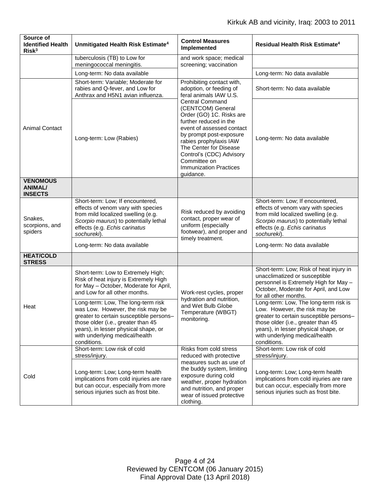| Source of<br><b>Identified Health</b><br>Risk <sup>3</sup> | Unmitigated Health Risk Estimate <sup>4</sup>                                                                                                                                                                                                     | <b>Control Measures</b><br>Implemented                                                                                                                                                                                                                                                                                                                                                    | Residual Health Risk Estimate <sup>4</sup>                                                                                                                                                                                                       |
|------------------------------------------------------------|---------------------------------------------------------------------------------------------------------------------------------------------------------------------------------------------------------------------------------------------------|-------------------------------------------------------------------------------------------------------------------------------------------------------------------------------------------------------------------------------------------------------------------------------------------------------------------------------------------------------------------------------------------|--------------------------------------------------------------------------------------------------------------------------------------------------------------------------------------------------------------------------------------------------|
|                                                            | tuberculosis (TB) to Low for<br>meningococcal meningitis.                                                                                                                                                                                         | and work space; medical<br>screening; vaccination                                                                                                                                                                                                                                                                                                                                         |                                                                                                                                                                                                                                                  |
|                                                            | Long-term: No data available                                                                                                                                                                                                                      |                                                                                                                                                                                                                                                                                                                                                                                           | Long-term: No data available                                                                                                                                                                                                                     |
| <b>Animal Contact</b>                                      | Short-term: Variable; Moderate for<br>rabies and Q-fever, and Low for<br>Anthrax and H5N1 avian influenza.                                                                                                                                        | Prohibiting contact with,<br>adoption, or feeding of<br>feral animals IAW U.S.<br><b>Central Command</b><br>(CENTCOM) General<br>Order (GO) 1C. Risks are<br>further reduced in the<br>event of assessed contact<br>by prompt post-exposure<br>rabies prophylaxis IAW<br>The Center for Disease<br>Control's (CDC) Advisory<br>Committee on<br><b>Immunization Practices</b><br>guidance. | Short-term: No data available                                                                                                                                                                                                                    |
|                                                            | Long-term: Low (Rabies)                                                                                                                                                                                                                           |                                                                                                                                                                                                                                                                                                                                                                                           | Long-term: No data available                                                                                                                                                                                                                     |
| <b>VENOMOUS</b><br><b>ANIMAL/</b><br><b>INSECTS</b>        |                                                                                                                                                                                                                                                   |                                                                                                                                                                                                                                                                                                                                                                                           |                                                                                                                                                                                                                                                  |
| Snakes,<br>scorpions, and<br>spiders                       | Short-term: Low; If encountered,<br>effects of venom vary with species<br>from mild localized swelling (e.g.<br>Scorpio maurus) to potentially lethal<br>effects (e.g. Echis carinatus<br>sochureki).                                             | Risk reduced by avoiding<br>contact, proper wear of<br>uniform (especially<br>footwear), and proper and<br>timely treatment.                                                                                                                                                                                                                                                              | Short-term: Low; If encountered,<br>effects of venom vary with species<br>from mild localized swelling (e.g.<br>Scorpio maurus) to potentially lethal<br>effects (e.g. Echis carinatus<br>sochureki).                                            |
|                                                            | Long-term: No data available                                                                                                                                                                                                                      |                                                                                                                                                                                                                                                                                                                                                                                           | Long-term: No data available                                                                                                                                                                                                                     |
| <b>HEAT/COLD</b><br><b>STRESS</b>                          |                                                                                                                                                                                                                                                   |                                                                                                                                                                                                                                                                                                                                                                                           |                                                                                                                                                                                                                                                  |
| Heat                                                       | Short-term: Low to Extremely High;<br>Risk of heat injury is Extremely High<br>for May - October, Moderate for April,<br>and Low for all other months.                                                                                            | Work-rest cycles, proper<br>hydration and nutrition,<br>and Wet Bulb Globe<br>Temperature (WBGT)<br>monitoring.                                                                                                                                                                                                                                                                           | Short-term: Low; Risk of heat injury in<br>unacclimatized or susceptible<br>personnel is Extremely High for May -<br>October, Moderate for April, and Low<br>for all other months.                                                               |
|                                                            | Long-term: Low, The long-term risk<br>was Low. However, the risk may be<br>greater to certain susceptible persons-<br>those older (i.e., greater than 45<br>years), in lesser physical shape, or<br>with underlying medical/health<br>conditions. |                                                                                                                                                                                                                                                                                                                                                                                           | Long-term: Low, The long-term risk is<br>Low. However, the risk may be<br>greater to certain susceptible persons-<br>those older (i.e., greater than 45<br>years), in lesser physical shape, or<br>with underlying medical/health<br>conditions. |
| Cold                                                       | Short-term: Low risk of cold<br>stress/injury.                                                                                                                                                                                                    | Risks from cold stress<br>reduced with protective<br>measures such as use of<br>the buddy system, limiting<br>exposure during cold<br>weather, proper hydration<br>and nutrition, and proper<br>wear of issued protective<br>clothing.                                                                                                                                                    | Short-term: Low risk of cold<br>stress/injury.                                                                                                                                                                                                   |
|                                                            | Long-term: Low; Long-term health<br>implications from cold injuries are rare<br>but can occur, especially from more<br>serious injuries such as frost bite.                                                                                       |                                                                                                                                                                                                                                                                                                                                                                                           | Long-term: Low; Long-term health<br>implications from cold injuries are rare<br>but can occur, especially from more<br>serious injuries such as frost bite.                                                                                      |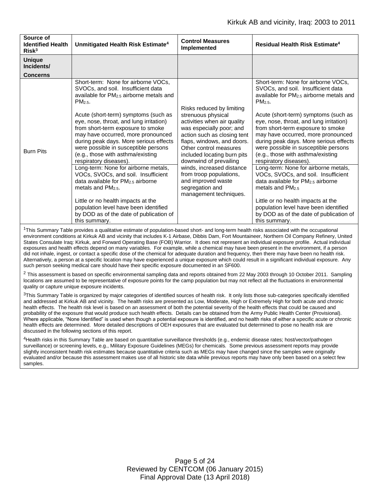| Source of<br><b>Identified Health</b><br>Risk <sup>3</sup> | Unmitigated Health Risk Estimate <sup>4</sup>                                                                                                                                                                                                                                                                                                                                                                                                                          | <b>Control Measures</b><br><b>Implemented</b>                                                                                                                                                                                                              | Residual Health Risk Estimate <sup>4</sup>                                                                                                                                                                                                                                                                                                                                                                                                                             |
|------------------------------------------------------------|------------------------------------------------------------------------------------------------------------------------------------------------------------------------------------------------------------------------------------------------------------------------------------------------------------------------------------------------------------------------------------------------------------------------------------------------------------------------|------------------------------------------------------------------------------------------------------------------------------------------------------------------------------------------------------------------------------------------------------------|------------------------------------------------------------------------------------------------------------------------------------------------------------------------------------------------------------------------------------------------------------------------------------------------------------------------------------------------------------------------------------------------------------------------------------------------------------------------|
| <b>Unique</b><br>Incidents/                                |                                                                                                                                                                                                                                                                                                                                                                                                                                                                        |                                                                                                                                                                                                                                                            |                                                                                                                                                                                                                                                                                                                                                                                                                                                                        |
| <b>Concerns</b>                                            |                                                                                                                                                                                                                                                                                                                                                                                                                                                                        |                                                                                                                                                                                                                                                            |                                                                                                                                                                                                                                                                                                                                                                                                                                                                        |
| <b>Burn Pits</b>                                           | Short-term: None for airborne VOCs,<br>SVOCs, and soil. Insufficient data<br>available for PM <sub>2.5</sub> airborne metals and<br>PM <sub>2.5</sub> .<br>Acute (short-term) symptoms (such as<br>eye, nose, throat, and lung irritation)<br>from short-term exposure to smoke<br>may have occurred, more pronounced<br>during peak days. More serious effects<br>were possible in susceptible persons<br>(e.g., those with asthma/existing<br>respiratory diseases). | Risks reduced by limiting<br>strenuous physical<br>activities when air quality<br>was especially poor; and<br>action such as closing tent<br>flaps, windows, and doors.<br>Other control measures<br>included locating burn pits<br>downwind of prevailing | Short-term: None for airborne VOCs,<br>SVOCs, and soil. Insufficient data<br>available for PM <sub>2.5</sub> airborne metals and<br>PM <sub>2.5</sub> .<br>Acute (short-term) symptoms (such as<br>eye, nose, throat, and lung irritation)<br>from short-term exposure to smoke<br>may have occurred, more pronounced<br>during peak days. More serious effects<br>were possible in susceptible persons<br>(e.g., those with asthma/existing<br>respiratory diseases). |
|                                                            | Long-term: None for airborne metals,<br>VOCs, SVOCs, and soil. Insufficient<br>data available for PM <sub>2.5</sub> airborne<br>metals and $PM2.5$ .<br>Little or no health impacts at the                                                                                                                                                                                                                                                                             | winds, increased distance<br>from troop populations,<br>and improved waste<br>segregation and<br>management techniques.                                                                                                                                    | Long-term: None for airborne metals,<br>VOCs, SVOCs, and soil. Insufficient<br>data available for $PM2.5$ airborne<br>metals and PM <sub>2.5</sub><br>Little or no health impacts at the                                                                                                                                                                                                                                                                               |
|                                                            | population level have been identified<br>by DOD as of the date of publication of<br>this summary.                                                                                                                                                                                                                                                                                                                                                                      |                                                                                                                                                                                                                                                            | population level have been identified<br>by DOD as of the date of publication of<br>this summary.                                                                                                                                                                                                                                                                                                                                                                      |

<sup>1</sup>This Summary Table provides a qualitative estimate of population-based short- and long-term health risks associated with the occupational environment conditions at Kirkuk AB and vicinity that includes K-1 Airbase, Dibbis Dam, Fort Mountaineer, Northern Oil Company Refinery, United States Consulate Iraq: Kirkuk, and Forward Operating Base (FOB) Warrior. It does not represent an individual exposure profile. Actual individual exposures and health effects depend on many variables. For example, while a chemical may have been present in the environment, if a person did not inhale, ingest, or contact a specific dose of the chemical for adequate duration and frequency, then there may have been no health risk. Alternatively, a person at a specific location may have experienced a unique exposure which could result in a significant individual exposure. Any such person seeking medical care should have their specific exposure documented in an SF600.

 $2$  This assessment is based on specific environmental sampling data and reports obtained from 22 May 2003 through 10 October 2011. Sampling locations are assumed to be representative of exposure points for the camp population but may not reflect all the fluctuations in environmental quality or capture unique exposure incidents.

 $3$ This Summary Table is organized by major categories of identified sources of health risk. It only lists those sub-categories specifically identified and addressed at Kirkuk AB and vicinity. The health risks are presented as Low, Moderate, High or Extremely High for both acute and chronic health effects. The health risk level is based on an assessment of both the potential severity of the health effects that could be caused and probability of the exposure that would produce such health effects. Details can be obtained from the Army Public Health Center (Provisional). Where applicable, "None Identified" is used when though a potential exposure is identified, and no health risks of either a specific acute or chronic health effects are determined. More detailed descriptions of OEH exposures that are evaluated but determined to pose no health risk are discussed in the following sections of this report.

4Health risks in this Summary Table are based on quantitative surveillance thresholds (e.g., endemic disease rates; host/vector/pathogen surveillance) or screening levels, e.g., Military Exposure Guidelines (MEGs) for chemicals*.* Some previous assessment reports may provide slightly inconsistent health risk estimates because quantitative criteria such as MEGs may have changed since the samples were originally evaluated and/or because this assessment makes use of all historic site data while previous reports may have only been based on a select few samples.

> Page 5 of 24 Reviewed by CENTCOM (06 January 2015) Final Approval Date (13 April 2018)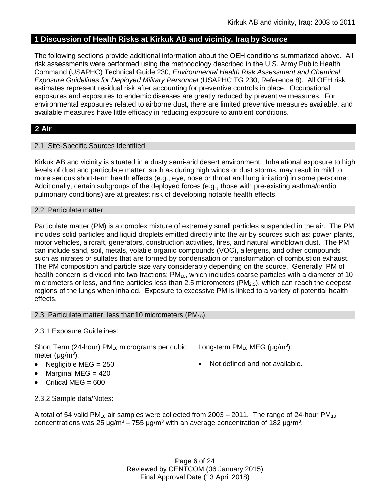## **1 Discussion of Health Risks at Kirkuk AB and vicinity, Iraq by Source**

The following sections provide additional information about the OEH conditions summarized above. All risk assessments were performed using the methodology described in the U.S. Army Public Health Command (USAPHC) Technical Guide 230, *Environmental Health Risk Assessment and Chemical Exposure Guidelines for Deployed Military Personnel* (USAPHC TG 230, Reference 8). All OEH risk estimates represent residual risk after accounting for preventive controls in place. Occupational exposures and exposures to endemic diseases are greatly reduced by preventive measures. For environmental exposures related to airborne dust, there are limited preventive measures available, and available measures have little efficacy in reducing exposure to ambient conditions.

## **2 Air**

### 2.1 Site-Specific Sources Identified

Kirkuk AB and vicinity is situated in a dusty semi-arid desert environment. Inhalational exposure to high levels of dust and particulate matter, such as during high winds or dust storms, may result in mild to more serious short-term health effects (e.g., eye, nose or throat and lung irritation) in some personnel. Additionally, certain subgroups of the deployed forces (e.g., those with pre-existing asthma/cardio pulmonary conditions) are at greatest risk of developing notable health effects.

#### 2.2 Particulate matter

Particulate matter (PM) is a complex mixture of extremely small particles suspended in the air. The PM includes solid particles and liquid droplets emitted directly into the air by sources such as: power plants, motor vehicles, aircraft, generators, construction activities, fires, and natural windblown dust. The PM can include sand, soil, metals, volatile organic compounds (VOC), allergens, and other compounds such as nitrates or sulfates that are formed by condensation or transformation of combustion exhaust. The PM composition and particle size vary considerably depending on the source. Generally, PM of health concern is divided into two fractions:  $PM_{10}$ , which includes coarse particles with a diameter of 10 micrometers or less, and fine particles less than 2.5 micrometers ( $PM<sub>2.5</sub>$ ), which can reach the deepest regions of the lungs when inhaled. Exposure to excessive PM is linked to a variety of potential health effects.

#### 2.3 Particulate matter, less than10 micrometers (PM<sub>10</sub>)

## 2.3.1 Exposure Guidelines:

Short Term (24-hour)  $PM_{10}$  micrograms per cubic meter (μg/m<sup>3</sup>):

- 
- $\bullet$  Marginal MEG = 420
- Critical MEG = 600
- Long-term  $PM_{10}$  MEG ( $\mu$ g/m<sup>3</sup>):
- Negligible  $MEG = 250$   $\bullet$  Not defined and not available.

2.3.2 Sample data/Notes:

A total of 54 valid PM<sub>10</sub> air samples were collected from 2003 – 2011. The range of 24-hour PM<sub>10</sub> concentrations was 25 μg/m<sup>3</sup> – 755 μg/m<sup>3</sup> with an average concentration of 182 μg/m<sup>3</sup>.

> Page 6 of 24 Reviewed by CENTCOM (06 January 2015) Final Approval Date (13 April 2018)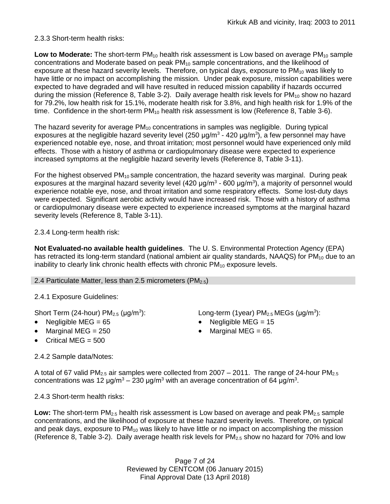## 2.3.3 Short-term health risks:

Low to Moderate: The short-term PM<sub>10</sub> health risk assessment is Low based on average PM<sub>10</sub> sample concentrations and Moderate based on peak PM<sub>10</sub> sample concentrations, and the likelihood of exposure at these hazard severity levels. Therefore, on typical days, exposure to  $PM_{10}$  was likely to have little or no impact on accomplishing the mission. Under peak exposure, mission capabilities were expected to have degraded and will have resulted in reduced mission capability if hazards occurred during the mission (Reference 8, Table 3-2). Daily average health risk levels for PM<sub>10</sub> show no hazard for 79.2%, low health risk for 15.1%, moderate health risk for 3.8%, and high health risk for 1.9% of the time. Confidence in the short-term  $PM_{10}$  health risk assessment is low (Reference 8, Table 3-6).

The hazard severity for average  $PM_{10}$  concentrations in samples was negligible. During typical exposures at the negligible hazard severity level (250  $\mu$ g/m<sup>3</sup> - 420  $\mu$ g/m<sup>3</sup>), a few personnel may have experienced notable eye, nose, and throat irritation; most personnel would have experienced only mild effects. Those with a history of asthma or cardiopulmonary disease were expected to experience increased symptoms at the negligible hazard severity levels (Reference 8, Table 3-11).

For the highest observed  $PM_{10}$  sample concentration, the hazard severity was marginal. During peak exposures at the marginal hazard severity level (420  $\mu$ g/m<sup>3</sup> - 600  $\mu$ g/m<sup>3</sup>), a majority of personnel would experience notable eye, nose, and throat irritation and some respiratory effects. Some lost-duty days were expected. Significant aerobic activity would have increased risk. Those with a history of asthma or cardiopulmonary disease were expected to experience increased symptoms at the marginal hazard severity levels (Reference 8, Table 3-11).

2.3.4 Long-term health risk:

**Not Evaluated-no available health guidelines**. The U. S. Environmental Protection Agency (EPA) has retracted its long-term standard (national ambient air quality standards, NAAQS) for  $PM_{10}$  due to an inability to clearly link chronic health effects with chronic  $PM_{10}$  exposure levels.

## 2.4 Particulate Matter, less than 2.5 micrometers ( $PM_{2.5}$ )

2.4.1 Exposure Guidelines:

Short Term (24-hour)  $PM<sub>2.5</sub>$  ( $\mu$ g/m<sup>3</sup>):

- 
- 
- Critical MEG  $= 500$

): Long-term (1year)  $PM_{2.5}$  MEGs ( $\mu$ g/m<sup>3</sup>):

- Negligible MEG = 65 Negligible MEG = 15
- Marginal MEG =  $250$   $\bullet$  Marginal MEG =  $65$ .

2.4.2 Sample data/Notes:

A total of 67 valid PM<sub>2.5</sub> air samples were collected from 2007 – 2011. The range of 24-hour PM<sub>2.5</sub> concentrations was 12 μg/m<sup>3</sup> – 230 μg/m<sup>3</sup> with an average concentration of 64 μg/m<sup>3</sup>.

2.4.3 Short-term health risks:

Low: The short-term PM<sub>2.5</sub> health risk assessment is Low based on average and peak PM<sub>2.5</sub> sample concentrations, and the likelihood of exposure at these hazard severity levels. Therefore, on typical and peak days, exposure to PM<sub>10</sub> was likely to have little or no impact on accomplishing the mission (Reference 8, Table 3-2). Daily average health risk levels for  $PM_{2.5}$  show no hazard for 70% and low

> Page 7 of 24 Reviewed by CENTCOM (06 January 2015) Final Approval Date (13 April 2018)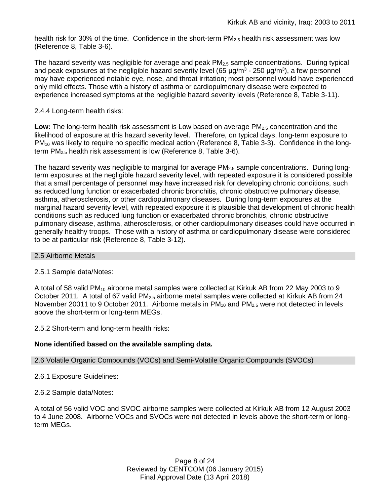health risk for 30% of the time. Confidence in the short-term  $PM_{2.5}$  health risk assessment was low (Reference 8, Table 3-6).

The hazard severity was negligible for average and peak  $PM<sub>2.5</sub>$  sample concentrations. During typical and peak exposures at the negligible hazard severity level (65  $\mu$ g/m<sup>3</sup> - 250  $\mu$ g/m<sup>3</sup>), a few personnel may have experienced notable eye, nose, and throat irritation; most personnel would have experienced only mild effects. Those with a history of asthma or cardiopulmonary disease were expected to experience increased symptoms at the negligible hazard severity levels (Reference 8, Table 3-11).

#### 2.4.4 Long-term health risks:

**Low:** The long-term health risk assessment is Low based on average PM2.5 concentration and the likelihood of exposure at this hazard severity level. Therefore, on typical days, long-term exposure to PM<sub>10</sub> was likely to require no specific medical action (Reference 8, Table 3-3). Confidence in the longterm PM2.5 health risk assessment is low (Reference 8, Table 3-6).

The hazard severity was negligible to marginal for average  $PM_{2.5}$  sample concentrations. During longterm exposures at the negligible hazard severity level, with repeated exposure it is considered possible that a small percentage of personnel may have increased risk for developing chronic conditions, such as reduced lung function or exacerbated chronic bronchitis, chronic obstructive pulmonary disease, asthma, atherosclerosis, or other cardiopulmonary diseases. During long-term exposures at the marginal hazard severity level, with repeated exposure it is plausible that development of chronic health conditions such as reduced lung function or exacerbated chronic bronchitis, chronic obstructive pulmonary disease, asthma, atherosclerosis, or other cardiopulmonary diseases could have occurred in generally healthy troops. Those with a history of asthma or cardiopulmonary disease were considered to be at particular risk (Reference 8, Table 3-12).

#### 2.5 Airborne Metals

#### 2.5.1 Sample data/Notes:

A total of 58 valid  $PM_{10}$  airborne metal samples were collected at Kirkuk AB from 22 May 2003 to 9 October 2011. A total of 67 valid PM<sub>2.5</sub> airborne metal samples were collected at Kirkuk AB from 24 November 20011 to 9 October 2011. Airborne metals in  $PM_{10}$  and  $PM_{2.5}$  were not detected in levels above the short-term or long-term MEGs.

2.5.2 Short-term and long-term health risks:

#### **None identified based on the available sampling data.**

#### 2.6 Volatile Organic Compounds (VOCs) and Semi-Volatile Organic Compounds (SVOCs)

- 2.6.1 Exposure Guidelines:
- 2.6.2 Sample data/Notes:

A total of 56 valid VOC and SVOC airborne samples were collected at Kirkuk AB from 12 August 2003 to 4 June 2008. Airborne VOCs and SVOCs were not detected in levels above the short-term or longterm MEGs.

> Page 8 of 24 Reviewed by CENTCOM (06 January 2015) Final Approval Date (13 April 2018)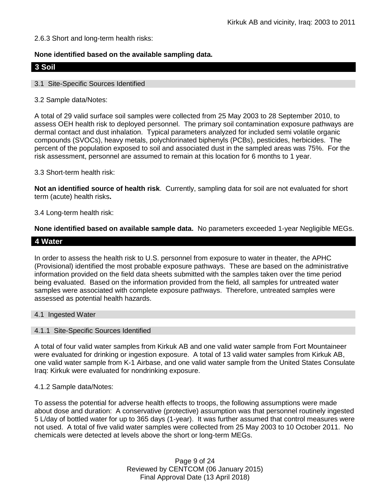### 2.6.3 Short and long-term health risks:

### **None identified based on the available sampling data.**

## **3 Soil**

#### 3.1 Site-Specific Sources Identified

#### 3.2 Sample data/Notes:

A total of 29 valid surface soil samples were collected from 25 May 2003 to 28 September 2010, to assess OEH health risk to deployed personnel. The primary soil contamination exposure pathways are dermal contact and dust inhalation. Typical parameters analyzed for included semi volatile organic compounds (SVOCs), heavy metals, polychlorinated biphenyls (PCBs), pesticides, herbicides. The percent of the population exposed to soil and associated dust in the sampled areas was 75%. For the risk assessment, personnel are assumed to remain at this location for 6 months to 1 year.

#### 3.3 Short-term health risk:

**Not an identified source of health risk**. Currently, sampling data for soil are not evaluated for short term (acute) health risks**.**

#### 3.4 Long-term health risk:

**None identified based on available sample data.** No parameters exceeded 1-year Negligible MEGs.

### **4 Water**

In order to assess the health risk to U.S. personnel from exposure to water in theater, the APHC (Provisional) identified the most probable exposure pathways. These are based on the administrative information provided on the field data sheets submitted with the samples taken over the time period being evaluated. Based on the information provided from the field, all samples for untreated water samples were associated with complete exposure pathways. Therefore, untreated samples were assessed as potential health hazards.

#### 4.1 Ingested Water

#### 4.1.1 Site-Specific Sources Identified

A total of four valid water samples from Kirkuk AB and one valid water sample from Fort Mountaineer were evaluated for drinking or ingestion exposure. A total of 13 valid water samples from Kirkuk AB, one valid water sample from K-1 Airbase, and one valid water sample from the United States Consulate Iraq: Kirkuk were evaluated for nondrinking exposure.

#### 4.1.2 Sample data/Notes:

To assess the potential for adverse health effects to troops, the following assumptions were made about dose and duration: A conservative (protective) assumption was that personnel routinely ingested 5 L/day of bottled water for up to 365 days (1-year). It was further assumed that control measures were not used. A total of five valid water samples were collected from 25 May 2003 to 10 October 2011. No chemicals were detected at levels above the short or long-term MEGs.

> Page 9 of 24 Reviewed by CENTCOM (06 January 2015) Final Approval Date (13 April 2018)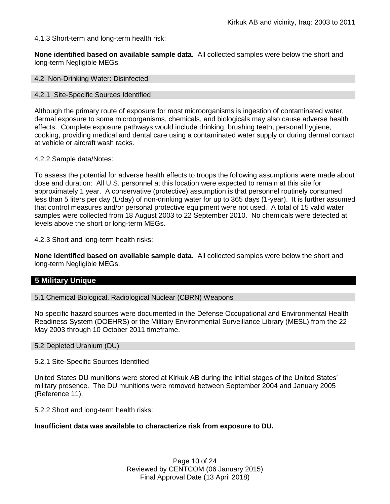4.1.3 Short-term and long-term health risk:

**None identified based on available sample data.** All collected samples were below the short and long-term Negligible MEGs.

4.2 Non-Drinking Water: Disinfected

#### 4.2.1 Site-Specific Sources Identified

Although the primary route of exposure for most microorganisms is ingestion of contaminated water, dermal exposure to some microorganisms, chemicals, and biologicals may also cause adverse health effects. Complete exposure pathways would include drinking, brushing teeth, personal hygiene, cooking, providing medical and dental care using a contaminated water supply or during dermal contact at vehicle or aircraft wash racks.

#### 4.2.2 Sample data/Notes:

To assess the potential for adverse health effects to troops the following assumptions were made about dose and duration: All U.S. personnel at this location were expected to remain at this site for approximately 1 year. A conservative (protective) assumption is that personnel routinely consumed less than 5 liters per day (L/day) of non-drinking water for up to 365 days (1-year). It is further assumed that control measures and/or personal protective equipment were not used. A total of 15 valid water samples were collected from 18 August 2003 to 22 September 2010. No chemicals were detected at levels above the short or long-term MEGs.

4.2.3 Short and long-term health risks:

**None identified based on available sample data.** All collected samples were below the short and long-term Negligible MEGs.

## **5 Military Unique**

5.1 Chemical Biological, Radiological Nuclear (CBRN) Weapons

No specific hazard sources were documented in the Defense Occupational and Environmental Health Readiness System (DOEHRS) or the Military Environmental Surveillance Library (MESL) from the 22 May 2003 through 10 October 2011 timeframe.

#### 5.2 Depleted Uranium (DU)

#### 5.2.1 Site-Specific Sources Identified

United States DU munitions were stored at Kirkuk AB during the initial stages of the United States' military presence. The DU munitions were removed between September 2004 and January 2005 (Reference 11).

5.2.2 Short and long-term health risks:

#### **Insufficient data was available to characterize risk from exposure to DU.**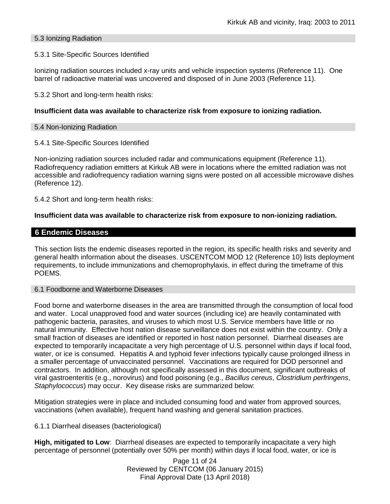### 5.3 Ionizing Radiation

#### 5.3.1 Site-Specific Sources Identified

Ionizing radiation sources included x-ray units and vehicle inspection systems (Reference 11). One barrel of radioactive material was uncovered and disposed of in June 2003 (Reference 11).

5.3.2 Short and long-term health risks:

### **Insufficient data was available to characterize risk from exposure to ionizing radiation.**

#### 5.4 Non-Ionizing Radiation

#### 5.4.1 Site-Specific Sources Identified

Non-ionizing radiation sources included radar and communications equipment (Reference 11). Radiofrequency radiation emitters at Kirkuk AB were in locations where the emitted radiation was not accessible and radiofrequency radiation warning signs were posted on all accessible microwave dishes (Reference 12).

5.4.2 Short and long-term health risks:

### **Insufficient data was available to characterize risk from exposure to non-ionizing radiation.**

## **6 Endemic Diseases**

This section lists the endemic diseases reported in the region, its specific health risks and severity and general health information about the diseases. USCENTCOM MOD 12 (Reference 10) lists deployment requirements, to include immunizations and chemoprophylaxis, in effect during the timeframe of this POEMS.

#### 6.1 Foodborne and Waterborne Diseases

Food borne and waterborne diseases in the area are transmitted through the consumption of local food and water. Local unapproved food and water sources (including ice) are heavily contaminated with pathogenic bacteria, parasites, and viruses to which most U.S. Service members have little or no natural immunity. Effective host nation disease surveillance does not exist within the country. Only a small fraction of diseases are identified or reported in host nation personnel. Diarrheal diseases are expected to temporarily incapacitate a very high percentage of U.S. personnel within days if local food, water, or ice is consumed. Hepatitis A and typhoid fever infections typically cause prolonged illness in a smaller percentage of unvaccinated personnel. Vaccinations are required for DOD personnel and contractors. In addition, although not specifically assessed in this document, significant outbreaks of viral gastroenteritis (e.g., norovirus) and food poisoning (e.g., *Bacillus cereus*, *Clostridium perfringens*, *Staphylococcus*) may occur. Key disease risks are summarized below:

Mitigation strategies were in place and included consuming food and water from approved sources, vaccinations (when available), frequent hand washing and general sanitation practices.

6.1.1 Diarrheal diseases (bacteriological)

**High, mitigated to Low**: Diarrheal diseases are expected to temporarily incapacitate a very high percentage of personnel (potentially over 50% per month) within days if local food, water, or ice is

> Page 11 of 24 Reviewed by CENTCOM (06 January 2015) Final Approval Date (13 April 2018)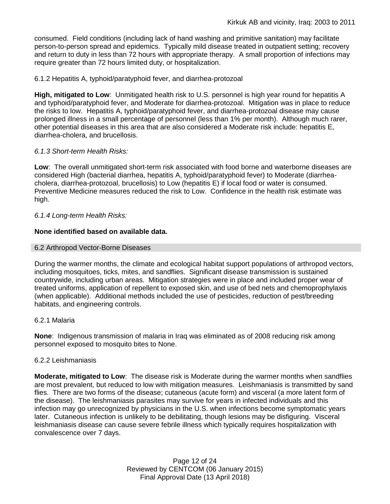consumed. Field conditions (including lack of hand washing and primitive sanitation) may facilitate person-to-person spread and epidemics. Typically mild disease treated in outpatient setting; recovery and return to duty in less than 72 hours with appropriate therapy. A small proportion of infections may require greater than 72 hours limited duty, or hospitalization.

#### 6.1.2 Hepatitis A, typhoid/paratyphoid fever, and diarrhea-protozoal

**High, mitigated to Low**: Unmitigated health risk to U.S. personnel is high year round for hepatitis A and typhoid/paratyphoid fever, and Moderate for diarrhea-protozoal. Mitigation was in place to reduce the risks to low. Hepatitis A, typhoid/paratyphoid fever, and diarrhea-protozoal disease may cause prolonged illness in a small percentage of personnel (less than 1% per month). Although much rarer, other potential diseases in this area that are also considered a Moderate risk include: hepatitis E, diarrhea-cholera, and brucellosis.

### *6.1.3 Short-term Health Risks:*

**Low**: The overall unmitigated short-term risk associated with food borne and waterborne diseases are considered High (bacterial diarrhea, hepatitis A, typhoid/paratyphoid fever) to Moderate (diarrheacholera, diarrhea-protozoal, brucellosis) to Low (hepatitis E) if local food or water is consumed. Preventive Medicine measures reduced the risk to Low. Confidence in the health risk estimate was high.

### *6.1.4 Long-term Health Risks:*

### **None identified based on available data.**

#### 6.2 Arthropod Vector-Borne Diseases

During the warmer months, the climate and ecological habitat support populations of arthropod vectors, including mosquitoes, ticks, mites, and sandflies. Significant disease transmission is sustained countrywide, including urban areas. Mitigation strategies were in place and included proper wear of treated uniforms, application of repellent to exposed skin, and use of bed nets and chemoprophylaxis (when applicable). Additional methods included the use of pesticides, reduction of pest/breeding habitats, and engineering controls.

#### 6.2.1 Malaria

**None**: Indigenous transmission of malaria in Iraq was eliminated as of 2008 reducing risk among personnel exposed to mosquito bites to None.

#### 6.2.2 Leishmaniasis

**Moderate, mitigated to Low**: The disease risk is Moderate during the warmer months when sandflies are most prevalent, but reduced to low with mitigation measures. Leishmaniasis is transmitted by sand flies. There are two forms of the disease; cutaneous (acute form) and visceral (a more latent form of the disease). The leishmaniasis parasites may survive for years in infected individuals and this infection may go unrecognized by physicians in the U.S. when infections become symptomatic years later. Cutaneous infection is unlikely to be debilitating, though lesions may be disfiguring. Visceral leishmaniasis disease can cause severe febrile illness which typically requires hospitalization with convalescence over 7 days.

> Page 12 of 24 Reviewed by CENTCOM (06 January 2015) Final Approval Date (13 April 2018)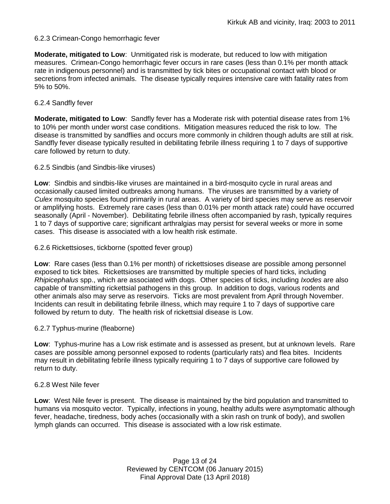### 6.2.3 Crimean-Congo hemorrhagic fever

**Moderate, mitigated to Low**: Unmitigated risk is moderate, but reduced to low with mitigation measures. Crimean-Congo hemorrhagic fever occurs in rare cases (less than 0.1% per month attack rate in indigenous personnel) and is transmitted by tick bites or occupational contact with blood or secretions from infected animals. The disease typically requires intensive care with fatality rates from 5% to 50%.

#### 6.2.4 Sandfly fever

**Moderate, mitigated to Low**: Sandfly fever has a Moderate risk with potential disease rates from 1% to 10% per month under worst case conditions. Mitigation measures reduced the risk to low. The disease is transmitted by sandflies and occurs more commonly in children though adults are still at risk. Sandfly fever disease typically resulted in debilitating febrile illness requiring 1 to 7 days of supportive care followed by return to duty.

#### 6.2.5 Sindbis (and Sindbis-like viruses)

**Low**: Sindbis and sindbis-like viruses are maintained in a bird-mosquito cycle in rural areas and occasionally caused limited outbreaks among humans. The viruses are transmitted by a variety of *Culex* mosquito species found primarily in rural areas. A variety of bird species may serve as reservoir or amplifying hosts. Extremely rare cases (less than 0.01% per month attack rate) could have occurred seasonally (April - November). Debilitating febrile illness often accompanied by rash, typically requires 1 to 7 days of supportive care; significant arthralgias may persist for several weeks or more in some cases. This disease is associated with a low health risk estimate.

#### 6.2.6 Rickettsioses, tickborne (spotted fever group)

**Low**: Rare cases (less than 0.1% per month) of rickettsioses disease are possible among personnel exposed to tick bites. Rickettsioses are transmitted by multiple species of hard ticks, including *Rhipicephalus* spp., which are associated with dogs. Other species of ticks, including *Ixodes* are also capable of transmitting rickettsial pathogens in this group. In addition to dogs, various rodents and other animals also may serve as reservoirs. Ticks are most prevalent from April through November. Incidents can result in debilitating febrile illness, which may require 1 to 7 days of supportive care followed by return to duty. The health risk of rickettsial disease is Low.

#### 6.2.7 Typhus-murine (fleaborne)

**Low**: Typhus-murine has a Low risk estimate and is assessed as present, but at unknown levels. Rare cases are possible among personnel exposed to rodents (particularly rats) and flea bites. Incidents may result in debilitating febrile illness typically requiring 1 to 7 days of supportive care followed by return to duty.

#### 6.2.8 West Nile fever

**Low**: West Nile fever is present. The disease is maintained by the bird population and transmitted to humans via mosquito vector. Typically, infections in young, healthy adults were asymptomatic although fever, headache, tiredness, body aches (occasionally with a skin rash on trunk of body), and swollen lymph glands can occurred. This disease is associated with a low risk estimate.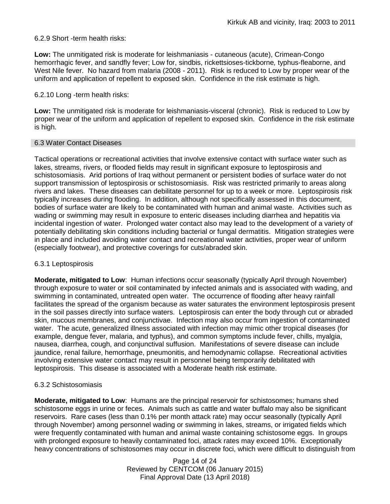6.2.9 Short -term health risks:

**Low:** The unmitigated risk is moderate for leishmaniasis - cutaneous (acute), Crimean-Congo hemorrhagic fever, and sandfly fever; Low for, sindbis, rickettsioses-tickborne*,* typhus-fleaborne, and West Nile fever. No hazard from malaria (2008 - 2011). Risk is reduced to Low by proper wear of the uniform and application of repellent to exposed skin. Confidence in the risk estimate is high.

#### 6.2.10 Long -term health risks:

**Low:** The unmitigated risk is moderate for leishmaniasis-visceral (chronic). Risk is reduced to Low by proper wear of the uniform and application of repellent to exposed skin. Confidence in the risk estimate is high.

### 6.3 Water Contact Diseases

Tactical operations or recreational activities that involve extensive contact with surface water such as lakes, streams, rivers, or flooded fields may result in significant exposure to leptospirosis and schistosomiasis. Arid portions of Iraq without permanent or persistent bodies of surface water do not support transmission of leptospirosis or schistosomiasis. Risk was restricted primarily to areas along rivers and lakes. These diseases can debilitate personnel for up to a week or more. Leptospirosis risk typically increases during flooding. In addition, although not specifically assessed in this document, bodies of surface water are likely to be contaminated with human and animal waste. Activities such as wading or swimming may result in exposure to enteric diseases including diarrhea and hepatitis via incidental ingestion of water. Prolonged water contact also may lead to the development of a variety of potentially debilitating skin conditions including bacterial or fungal dermatitis. Mitigation strategies were in place and included avoiding water contact and recreational water activities, proper wear of uniform (especially footwear), and protective coverings for cuts/abraded skin.

#### 6.3.1 Leptospirosis

**Moderate, mitigated to Low**: Human infections occur seasonally (typically April through November) through exposure to water or soil contaminated by infected animals and is associated with wading, and swimming in contaminated, untreated open water. The occurrence of flooding after heavy rainfall facilitates the spread of the organism because as water saturates the environment leptospirosis present in the soil passes directly into surface waters. Leptospirosis can enter the body through cut or abraded skin, mucous membranes, and conjunctivae. Infection may also occur from ingestion of contaminated water. The acute, generalized illness associated with infection may mimic other tropical diseases (for example, dengue fever, malaria, and typhus), and common symptoms include fever, chills, myalgia, nausea, diarrhea, cough, and conjunctival suffusion. Manifestations of severe disease can include jaundice, renal failure, hemorrhage, pneumonitis, and hemodynamic collapse. Recreational activities involving extensive water contact may result in personnel being temporarily debilitated with leptospirosis. This disease is associated with a Moderate health risk estimate.

## 6.3.2 Schistosomiasis

**Moderate, mitigated to Low**: Humans are the principal reservoir for schistosomes; humans shed schistosome eggs in urine or feces. Animals such as cattle and water buffalo may also be significant reservoirs. Rare cases (less than 0.1% per month attack rate) may occur seasonally (typically April through November) among personnel wading or swimming in lakes, streams, or irrigated fields which were frequently contaminated with human and animal waste containing schistosome eggs. In groups with prolonged exposure to heavily contaminated foci, attack rates may exceed 10%. Exceptionally heavy concentrations of schistosomes may occur in discrete foci, which were difficult to distinguish from

> Page 14 of 24 Reviewed by CENTCOM (06 January 2015) Final Approval Date (13 April 2018)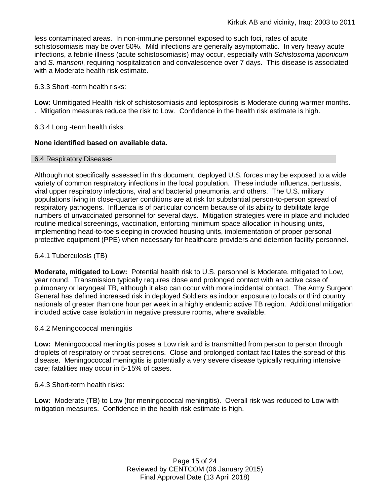less contaminated areas. In non-immune personnel exposed to such foci, rates of acute schistosomiasis may be over 50%. Mild infections are generally asymptomatic. In very heavy acute infections, a febrile illness (acute schistosomiasis) may occur, especially with *Schistosoma japonicum*  and *S. mansoni*, requiring hospitalization and convalescence over 7 days. This disease is associated with a Moderate health risk estimate.

6.3.3 Short -term health risks:

**Low:** Unmitigated Health risk of schistosomiasis and leptospirosis is Moderate during warmer months. . Mitigation measures reduce the risk to Low. Confidence in the health risk estimate is high.

6.3.4 Long -term health risks:

### **None identified based on available data.**

#### 6.4 Respiratory Diseases

Although not specifically assessed in this document, deployed U.S. forces may be exposed to a wide variety of common respiratory infections in the local population. These include influenza, pertussis, viral upper respiratory infections, viral and bacterial pneumonia, and others. The U.S. military populations living in close-quarter conditions are at risk for substantial person-to-person spread of respiratory pathogens. Influenza is of particular concern because of its ability to debilitate large numbers of unvaccinated personnel for several days. Mitigation strategies were in place and included routine medical screenings, vaccination, enforcing minimum space allocation in housing units, implementing head-to-toe sleeping in crowded housing units, implementation of proper personal protective equipment (PPE) when necessary for healthcare providers and detention facility personnel.

### 6.4.1 Tuberculosis (TB)

**Moderate, mitigated to Low:** Potential health risk to U.S. personnel is Moderate, mitigated to Low, year round. Transmission typically requires close and prolonged contact with an active case of pulmonary or laryngeal TB, although it also can occur with more incidental contact. The Army Surgeon General has defined increased risk in deployed Soldiers as indoor exposure to locals or third country nationals of greater than one hour per week in a highly endemic active TB region. Additional mitigation included active case isolation in negative pressure rooms, where available.

#### 6.4.2 Meningococcal meningitis

**Low:** Meningococcal meningitis poses a Low risk and is transmitted from person to person through droplets of respiratory or throat secretions. Close and prolonged contact facilitates the spread of this disease. Meningococcal meningitis is potentially a very severe disease typically requiring intensive care; fatalities may occur in 5-15% of cases.

6.4.3 Short-term health risks:

**Low:** Moderate (TB) to Low (for meningococcal meningitis). Overall risk was reduced to Low with mitigation measures. Confidence in the health risk estimate is high.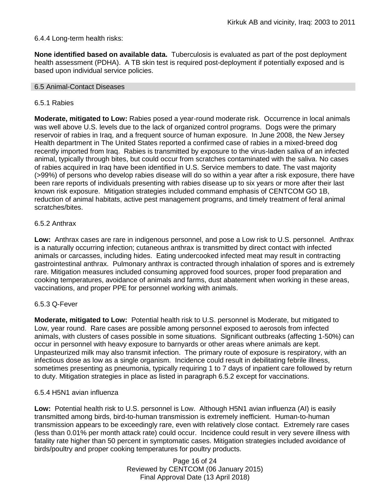### 6.4.4 Long-term health risks:

**None identified based on available data.** Tuberculosis is evaluated as part of the post deployment health assessment (PDHA). A TB skin test is required post-deployment if potentially exposed and is based upon individual service policies.

#### 6.5 Animal-Contact Diseases

#### 6.5.1 Rabies

**Moderate, mitigated to Low:** Rabies posed a year-round moderate risk. Occurrence in local animals was well above U.S. levels due to the lack of organized control programs. Dogs were the primary reservoir of rabies in Iraq, and a frequent source of human exposure. In June 2008, the New Jersey Health department in The United States reported a confirmed case of rabies in a mixed-breed dog recently imported from Iraq. Rabies is transmitted by exposure to the virus-laden saliva of an infected animal, typically through bites, but could occur from scratches contaminated with the saliva. No cases of rabies acquired in Iraq have been identified in U.S. Service members to date. The vast majority (>99%) of persons who develop rabies disease will do so within a year after a risk exposure, there have been rare reports of individuals presenting with rabies disease up to six years or more after their last known risk exposure. Mitigation strategies included command emphasis of CENTCOM GO 1B, reduction of animal habitats, active pest management programs, and timely treatment of feral animal scratches/bites.

### 6.5.2 Anthrax

**Low:** Anthrax cases are rare in indigenous personnel, and pose a Low risk to U.S. personnel. Anthrax is a naturally occurring infection; cutaneous anthrax is transmitted by direct contact with infected animals or carcasses, including hides. Eating undercooked infected meat may result in contracting gastrointestinal anthrax. Pulmonary anthrax is contracted through inhalation of spores and is extremely rare. Mitigation measures included consuming approved food sources, proper food preparation and cooking temperatures, avoidance of animals and farms, dust abatement when working in these areas, vaccinations, and proper PPE for personnel working with animals.

#### 6.5.3 Q-Fever

**Moderate, mitigated to Low:** Potential health risk to U.S. personnel is Moderate, but mitigated to Low, year round. Rare cases are possible among personnel exposed to aerosols from infected animals, with clusters of cases possible in some situations. Significant outbreaks (affecting 1-50%) can occur in personnel with heavy exposure to barnyards or other areas where animals are kept. Unpasteurized milk may also transmit infection. The primary route of exposure is respiratory, with an infectious dose as low as a single organism. Incidence could result in debilitating febrile illness, sometimes presenting as pneumonia, typically requiring 1 to 7 days of inpatient care followed by return to duty. Mitigation strategies in place as listed in paragraph 6.5.2 except for vaccinations.

#### 6.5.4 H5N1 avian influenza

**Low:** Potential health risk to U.S. personnel is Low. Although H5N1 avian influenza (AI) is easily transmitted among birds, bird-to-human transmission is extremely inefficient. Human-to-human transmission appears to be exceedingly rare, even with relatively close contact. Extremely rare cases (less than 0.01% per month attack rate) could occur. Incidence could result in very severe illness with fatality rate higher than 50 percent in symptomatic cases. Mitigation strategies included avoidance of birds/poultry and proper cooking temperatures for poultry products.

> Page 16 of 24 Reviewed by CENTCOM (06 January 2015) Final Approval Date (13 April 2018)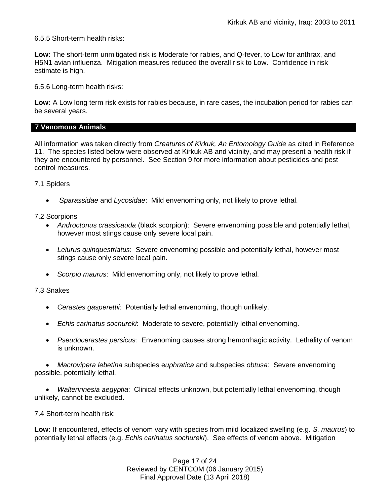6.5.5 Short-term health risks:

**Low:** The short-term unmitigated risk is Moderate for rabies, and Q-fever, to Low for anthrax, and H5N1 avian influenza. Mitigation measures reduced the overall risk to Low.Confidence in risk estimate is high.

6.5.6 Long-term health risks:

**Low:** A Low long term risk exists for rabies because, in rare cases, the incubation period for rabies can be several years.

## **7 Venomous Animals**

All information was taken directly from *Creatures of Kirkuk, An Entomology Guide* as cited in Reference 11. The species listed below were observed at Kirkuk AB and vicinity, and may present a health risk if they are encountered by personnel. See Section 9 for more information about pesticides and pest control measures.

7.1 Spiders

*Sparassidae* and *Lycosidae*: Mild envenoming only, not likely to prove lethal.

7.2 Scorpions

- *Androctonus crassicauda* (black scorpion): Severe envenoming possible and potentially lethal, however most stings cause only severe local pain.
- *Leiurus quinquestriatus*: Severe envenoming possible and potentially lethal, however most stings cause only severe local pain.
- *Scorpio maurus*: Mild envenoming only, not likely to prove lethal.

7.3 Snakes

- *Cerastes gasperettii*: Potentially lethal envenoming, though unlikely.
- *Echis carinatus sochureki*: Moderate to severe, potentially lethal envenoming.
- *Pseudocerastes persicus:* Envenoming causes strong hemorrhagic activity. Lethality of venom is unknown.

 *Macrovipera lebetina* subspecies e*uphratica* and subspecies *obtusa*: Severe envenoming possible, potentially lethal.

 *Walterinnesia aegyptia*: Clinical effects unknown, but potentially lethal envenoming, though unlikely, cannot be excluded.

7.4 Short-term health risk:

**Low:** If encountered, effects of venom vary with species from mild localized swelling (e.g. *S. maurus*) to potentially lethal effects (e.g. *Echis carinatus sochureki*). See effects of venom above. Mitigation

> Page 17 of 24 Reviewed by CENTCOM (06 January 2015) Final Approval Date (13 April 2018)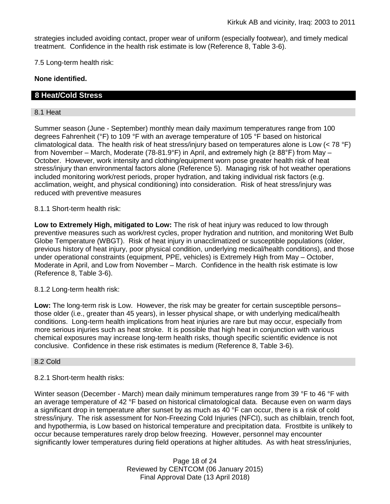strategies included avoiding contact, proper wear of uniform (especially footwear), and timely medical treatment. Confidence in the health risk estimate is low (Reference 8, Table 3-6).

7.5 Long-term health risk:

**None identified.**

## **8 Heat/Cold Stress**

#### 8.1 Heat

Summer season (June - September) monthly mean daily maximum temperatures range from 100 degrees Fahrenheit (°F) to 109 °F with an average temperature of 105 °F based on historical climatological data. The health risk of heat stress/injury based on temperatures alone is Low (< 78 °F) from November – March, Moderate (78-81.9°F) in April, and extremely high (≥ 88°F) from May – October. However, work intensity and clothing/equipment worn pose greater health risk of heat stress/injury than environmental factors alone (Reference 5). Managing risk of hot weather operations included monitoring work/rest periods, proper hydration, and taking individual risk factors (e.g. acclimation, weight, and physical conditioning) into consideration. Risk of heat stress/injury was reduced with preventive measures

8.1.1 Short-term health risk:

**Low to Extremely High, mitigated to Low:** The risk of heat injury was reduced to low through preventive measures such as work/rest cycles, proper hydration and nutrition, and monitoring Wet Bulb Globe Temperature (WBGT). Risk of heat injury in unacclimatized or susceptible populations (older, previous history of heat injury, poor physical condition, underlying medical/health conditions), and those under operational constraints (equipment, PPE, vehicles) is Extremely High from May – October, Moderate in April, and Low from November – March. Confidence in the health risk estimate is low (Reference 8, Table 3-6).

8.1.2 Long-term health risk:

**Low:** The long-term risk is Low. However, the risk may be greater for certain susceptible persons– those older (i.e., greater than 45 years), in lesser physical shape, or with underlying medical/health conditions. Long-term health implications from heat injuries are rare but may occur, especially from more serious injuries such as heat stroke. It is possible that high heat in conjunction with various chemical exposures may increase long-term health risks, though specific scientific evidence is not conclusive. Confidence in these risk estimates is medium (Reference 8, Table 3-6).

#### 8.2 Cold

## 8.2.1 Short-term health risks:

Winter season (December - March) mean daily minimum temperatures range from 39 °F to 46 °F with an average temperature of 42 °F based on historical climatological data. Because even on warm days a significant drop in temperature after sunset by as much as 40 °F can occur, there is a risk of cold stress/injury. The risk assessment for Non-Freezing Cold Injuries (NFCI), such as chilblain, trench foot, and hypothermia, is Low based on historical temperature and precipitation data. Frostbite is unlikely to occur because temperatures rarely drop below freezing. However, personnel may encounter significantly lower temperatures during field operations at higher altitudes. As with heat stress/injuries,

> Page 18 of 24 Reviewed by CENTCOM (06 January 2015) Final Approval Date (13 April 2018)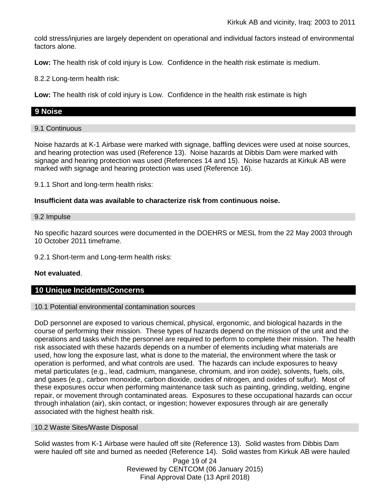cold stress/injuries are largely dependent on operational and individual factors instead of environmental factors alone.

**Low:** The health risk of cold injury is Low. Confidence in the health risk estimate is medium.

8.2.2 Long-term health risk:

**Low:** The health risk of cold injury is Low. Confidence in the health risk estimate is high

## **9 Noise**

#### 9.1 Continuous

Noise hazards at K-1 Airbase were marked with signage, baffling devices were used at noise sources, and hearing protection was used (Reference 13). Noise hazards at Dibbis Dam were marked with signage and hearing protection was used (References 14 and 15). Noise hazards at Kirkuk AB were marked with signage and hearing protection was used (Reference 16).

9.1.1 Short and long-term health risks:

### **Insufficient data was available to characterize risk from continuous noise.**

#### 9.2 Impulse

No specific hazard sources were documented in the DOEHRS or MESL from the 22 May 2003 through 10 October 2011 timeframe.

9.2.1 Short-term and Long-term health risks:

## **Not evaluated**.

## **10 Unique Incidents/Concerns**

#### 10.1 Potential environmental contamination sources

DoD personnel are exposed to various chemical, physical, ergonomic, and biological hazards in the course of performing their mission. These types of hazards depend on the mission of the unit and the operations and tasks which the personnel are required to perform to complete their mission. The health risk associated with these hazards depends on a number of elements including what materials are used, how long the exposure last, what is done to the material, the environment where the task or operation is performed, and what controls are used. The hazards can include exposures to heavy metal particulates (e.g., lead, cadmium, manganese, chromium, and iron oxide), solvents, fuels, oils, and gases (e.g., carbon monoxide, carbon dioxide, oxides of nitrogen, and oxides of sulfur). Most of these exposures occur when performing maintenance task such as painting, grinding, welding, engine repair, or movement through contaminated areas. Exposures to these occupational hazards can occur through inhalation (air), skin contact, or ingestion; however exposures through air are generally associated with the highest health risk.

#### 10.2 Waste Sites/Waste Disposal

Solid wastes from K-1 Airbase were hauled off site (Reference 13). Solid wastes from Dibbis Dam were hauled off site and burned as needed (Reference 14). Solid wastes from Kirkuk AB were hauled

> Page 19 of 24 Reviewed by CENTCOM (06 January 2015) Final Approval Date (13 April 2018)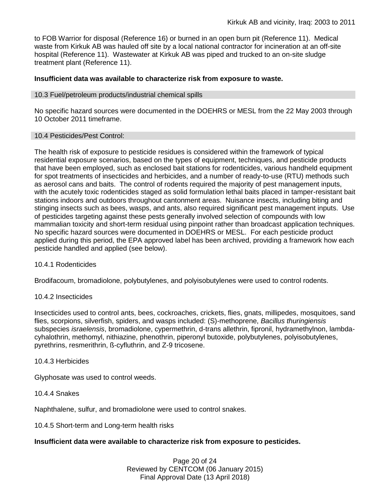to FOB Warrior for disposal (Reference 16) or burned in an open burn pit (Reference 11). Medical waste from Kirkuk AB was hauled off site by a local national contractor for incineration at an off-site hospital (Reference 11). Wastewater at Kirkuk AB was piped and trucked to an on-site sludge treatment plant (Reference 11).

#### **Insufficient data was available to characterize risk from exposure to waste.**

#### 10.3 Fuel/petroleum products/industrial chemical spills

No specific hazard sources were documented in the DOEHRS or MESL from the 22 May 2003 through 10 October 2011 timeframe.

#### 10.4 Pesticides/Pest Control:

The health risk of exposure to pesticide residues is considered within the framework of typical residential exposure scenarios, based on the types of equipment, techniques, and pesticide products that have been employed, such as enclosed bait stations for rodenticides, various handheld equipment for spot treatments of insecticides and herbicides, and a number of ready-to-use (RTU) methods such as aerosol cans and baits. The control of rodents required the majority of pest management inputs, with the acutely toxic rodenticides staged as solid formulation lethal baits placed in tamper-resistant bait stations indoors and outdoors throughout cantonment areas. Nuisance insects, including biting and stinging insects such as bees, wasps, and ants, also required significant pest management inputs. Use of pesticides targeting against these pests generally involved selection of compounds with low mammalian toxicity and short-term residual using pinpoint rather than broadcast application techniques. No specific hazard sources were documented in DOEHRS or MESL. For each pesticide product applied during this period, the EPA approved label has been archived, providing a framework how each pesticide handled and applied (see below).

#### 10.4.1 Rodenticides

Brodifacoum, bromadiolone, polybutylenes, and polyisobutylenes were used to control rodents.

#### 10.4.2 Insecticides

Insecticides used to control ants, bees, cockroaches, crickets, flies, gnats, millipedes, mosquitoes, sand flies, scorpions, silverfish, spiders, and wasps included: (S)-methoprene, *Bacillus thuringiensis* subspecies *israelensis*, bromadiolone, cypermethrin, d-trans allethrin, fipronil, hydramethylnon, lambdacyhalothrin, methomyl, nithiazine, phenothrin, piperonyl butoxide, polybutylenes, polyisobutylenes, pyrethrins, resmerithrin, ß-cyfluthrin, and Z-9 tricosene.

#### 10.4.3 Herbicides

Glyphosate was used to control weeds.

## 10.4.4 Snakes

Naphthalene, sulfur, and bromadiolone were used to control snakes.

10.4.5 Short-term and Long-term health risks

#### **Insufficient data were available to characterize risk from exposure to pesticides.**

Page 20 of 24 Reviewed by CENTCOM (06 January 2015) Final Approval Date (13 April 2018)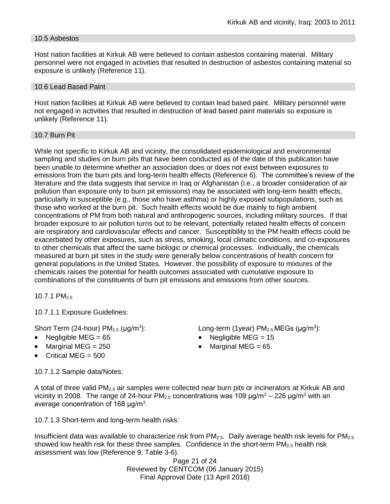### 10.5 Asbestos

Host nation facilities at Kirkuk AB were believed to contain asbestos containing material. Military personnel were not engaged in activities that resulted in destruction of asbestos containing material so exposure is unlikely (Reference 11).

#### 10.6 Lead Based Paint

Host nation facilities at Kirkuk AB were believed to contain lead based paint. Military personnel were not engaged in activities that resulted in destruction of lead based paint materials so exposure is unlikely (Reference 11).

#### 10.7 Burn Pit

While not specific to Kirkuk AB and vicinity, the consolidated epidemiological and environmental sampling and studies on burn pits that have been conducted as of the date of this publication have been unable to determine whether an association does or does not exist between exposures to emissions from the burn pits and long-term health effects (Reference 6). The committee's review of the literature and the data suggests that service in Iraq or Afghanistan (i.e., a broader consideration of air pollution than exposure only to burn pit emissions) may be associated with long-term health effects, particularly in susceptible (e.g., those who have asthma) or highly exposed subpopulations, such as those who worked at the burn pit. Such health effects would be due mainly to high ambient concentrations of PM from both natural and anthropogenic sources, including military sources. If that broader exposure to air pollution turns out to be relevant, potentially related health effects of concern are respiratory and cardiovascular effects and cancer. Susceptibility to the PM health effects could be exacerbated by other exposures, such as stress, smoking, local climatic conditions, and co-exposures to other chemicals that affect the same biologic or chemical processes. Individually, the chemicals measured at burn pit sites in the study were generally below concentrations of health concern for general populations in the United States. However, the possibility of exposure to mixtures of the chemicals raises the potential for health outcomes associated with cumulative exposure to combinations of the constituents of burn pit emissions and emissions from other sources.

10.7.1 PM2.5

10.7.1.1 Exposure Guidelines:

Short Term (24-hour)  $PM<sub>2.5</sub>$  ( $\mu$ g/m<sup>3</sup>):

- 
- Marginal MEG =  $250$   $\bullet$  Marginal MEG =  $65$ .
- $\bullet$  Critical MEG = 500

10.7.1.2 Sample data/Notes:

): Long-term (1year)  $PM_{2.5}$  MEGs ( $\mu$ g/m<sup>3</sup>):

- Negligible MEG = 65 Negligible MEG = 15
	-

A total of three valid PM2.5 air samples were collected near burn pits or incinerators at Kirkuk AB and vicinity in 2008. The range of 24-hour  $PM_{2.5}$  concentrations was 109  $\mu$ g/m<sup>3</sup> – 226  $\mu$ g/m<sup>3</sup> with an average concentration of 168  $\mu$ g/m<sup>3</sup>.

10.7.1.3 Short-term and long-term health risks:

Insufficient data was available to characterize risk from  $PM_{2.5}$ . Daily average health risk levels for  $PM_{2.5}$ showed low health risk for these three samples. Confidence in the short-term PM<sub>2.5</sub> health risk assessment was low (Reference 9, Table 3-6).

Page 21 of 24 Reviewed by CENTCOM (06 January 2015) Final Approval Date (13 April 2018)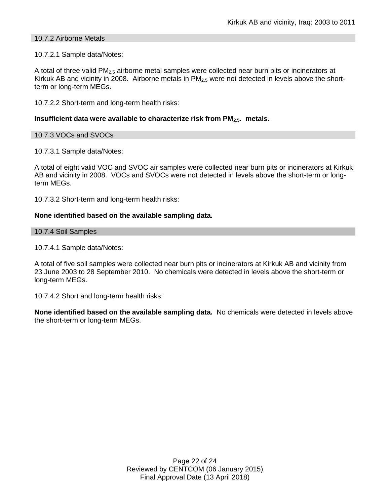#### 10.7.2 Airborne Metals

#### 10.7.2.1 Sample data/Notes:

A total of three valid  $PM_{2.5}$  airborne metal samples were collected near burn pits or incinerators at Kirkuk AB and vicinity in 2008. Airborne metals in  $PM_{2.5}$  were not detected in levels above the shortterm or long-term MEGs.

10.7.2.2 Short-term and long-term health risks:

#### **Insufficient data were available to characterize risk from PM2.5. metals.**

### 10.7.3 VOCs and SVOCs

10.7.3.1 Sample data/Notes:

A total of eight valid VOC and SVOC air samples were collected near burn pits or incinerators at Kirkuk AB and vicinity in 2008. VOCs and SVOCs were not detected in levels above the short-term or longterm MEGs.

10.7.3.2 Short-term and long-term health risks:

### **None identified based on the available sampling data.**

#### 10.7.4 Soil Samples

### 10.7.4.1 Sample data/Notes:

A total of five soil samples were collected near burn pits or incinerators at Kirkuk AB and vicinity from 23 June 2003 to 28 September 2010. No chemicals were detected in levels above the short-term or long-term MEGs.

10.7.4.2 Short and long-term health risks:

**None identified based on the available sampling data.** No chemicals were detected in levels above the short-term or long-term MEGs.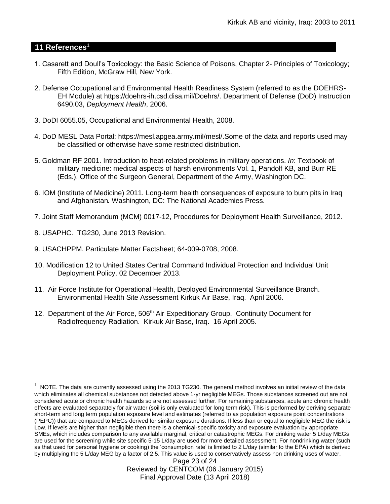#### **11 References<sup>1</sup>**

 $\overline{a}$ 

- 1. Casarett and Doull's Toxicology: the Basic Science of Poisons, Chapter 2- Principles of Toxicology; Fifth Edition, McGraw Hill, New York.
- 2. Defense Occupational and Environmental Health Readiness System (referred to as the DOEHRS-EH Module) at https://doehrs-ih.csd.disa.mil/Doehrs/. Department of Defense (DoD) Instruction 6490.03, *Deployment Health*, 2006.
- 3. DoDI 6055.05, Occupational and Environmental Health, 2008.
- 4. DoD MESL Data Portal: https://mesl.apgea.army.mil/mesl/.Some of the data and reports used may be classified or otherwise have some restricted distribution.
- 5. Goldman RF 2001. Introduction to heat-related problems in military operations. *In*: Textbook of military medicine: medical aspects of harsh environments Vol. 1, Pandolf KB, and Burr RE (Eds.), Office of the Surgeon General, Department of the Army, Washington DC.
- 6. IOM (Institute of Medicine) 2011*.* Long-term health consequences of exposure to burn pits in Iraq and Afghanistan*.* Washington, DC: The National Academies Press.
- 7. Joint Staff Memorandum (MCM) 0017-12, Procedures for Deployment Health Surveillance, 2012.
- 8. USAPHC. TG230, June 2013 Revision.
- 9. USACHPPM. Particulate Matter Factsheet; 64-009-0708, 2008.
- 10. Modification 12 to United States Central Command Individual Protection and Individual Unit Deployment Policy, 02 December 2013.
- 11. Air Force Institute for Operational Health, Deployed Environmental Surveillance Branch. Environmental Health Site Assessment Kirkuk Air Base, Iraq. April 2006.
- 12. Department of the Air Force, 506<sup>th</sup> Air Expeditionary Group. Continuity Document for Radiofrequency Radiation. Kirkuk Air Base, Iraq. 16 April 2005.

Page 23 of 24 Reviewed by CENTCOM (06 January 2015) Final Approval Date (13 April 2018)

 $1$  NOTE. The data are currently assessed using the 2013 TG230. The general method involves an initial review of the data which eliminates all chemical substances not detected above 1-yr negligible MEGs. Those substances screened out are not considered acute or chronic health hazards so are not assessed further. For remaining substances, acute and chronic health effects are evaluated separately for air water (soil is only evaluated for long term risk). This is performed by deriving separate short-term and long term population exposure level and estimates (referred to as population exposure point concentrations (PEPC)) that are compared to MEGs derived for similar exposure durations. If less than or equal to negligible MEG the risk is Low. If levels are higher than negligible then there is a chemical-specific toxicity and exposure evaluation by appropriate SMEs, which includes comparison to any available marginal, critical or catastrophic MEGs. For drinking water 5 L/day MEGs are used for the screening while site specific 5-15 L/day are used for more detailed assessment. For nondrinking water (such as that used for personal hygiene or cooking) the 'consumption rate' is limited to 2 L/day (similar to the EPA) which is derived by multiplying the 5 L/day MEG by a factor of 2.5. This value is used to conservatively assess non drinking uses of water.